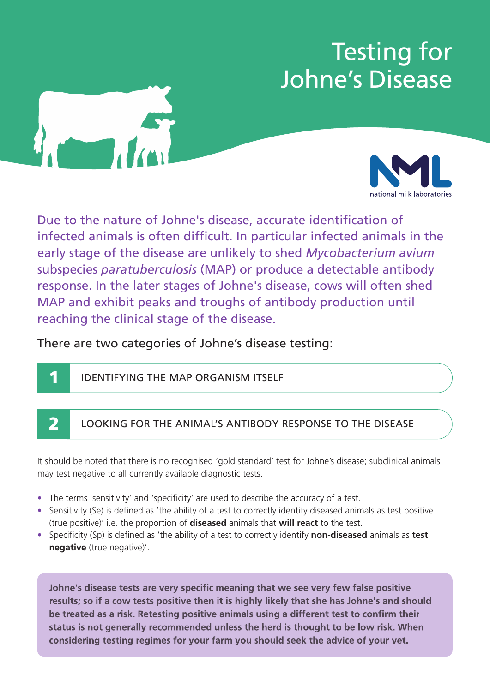# Testing for Johne's Disease



**1**



Due to the nature of Johne's disease, accurate identification of infected animals is often difficult. In particular infected animals in the early stage of the disease are unlikely to shed *Mycobacterium avium* subspecies *paratuberculosis* (MAP) or produce a detectable antibody response. In the later stages of Johne's disease, cows will often shed MAP and exhibit peaks and troughs of antibody production until reaching the clinical stage of the disease.

## There are two categories of Johne's disease testing:

IDENTIFYING THE MAP ORGANISM ITSELF

### **2** LOOKING FOR THE ANIMAL'S ANTIBODY RESPONSE TO THE DISEASE

It should be noted that there is no recognised 'gold standard' test for Johne's disease; subclinical animals may test negative to all currently available diagnostic tests.

- The terms 'sensitivity' and 'specificity' are used to describe the accuracy of a test.
- Sensitivity (Se) is defined as 'the ability of a test to correctly identify diseased animals as test positive (true positive)' i.e. the proportion of **diseased** animals that **will react** to the test.
- Specificity (Sp) is defined as 'the ability of a test to correctly identify **non-diseased** animals as **test negative** (true negative)'.

**Johne's disease tests are very specific meaning that we see very few false positive results; so if a cow tests positive then it is highly likely that she has Johne's and should be treated as a risk. Retesting positive animals using a different test to confirm their status is not generally recommended unless the herd is thought to be low risk. When considering testing regimes for your farm you should seek the advice of your vet.**